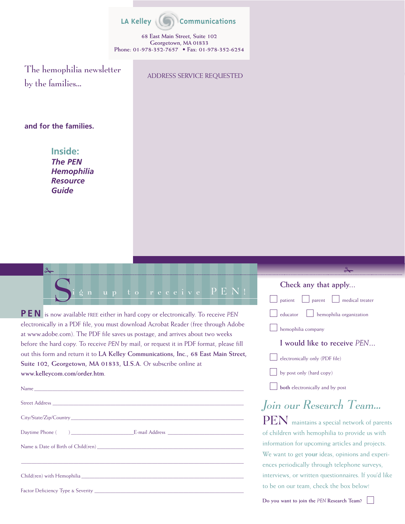

**68 East Main Street, Suite 102 Georgetown, MA 01833 Phone: 01-978-352-7657 • Fax: 01-978-352-6254**

The hemophilia newsletter by the families…

ADDRESS SERVICE REQUESTED

### **and for the families.**

**Inside:** *The PEN Hemophilia Resource Guide*



**PEN** is now available FREE either in hard copy or electronically. To receive *PEN* electronically in a PDF file, you must download Acrobat Reader (free through Adobe at www.adobe.com). The PDF file saves us postage, and arrives about two weeks before the hard copy. To receive *PEN* by mail, or request it in PDF format, please fill out this form and return it to **LA Kelley Communications, Inc., 68 East Main Street, Suite 102, Georgetown, MA 01833, U.S.A.** Or subscribe online at **www.kelleycom.com/order.htm**.

| ,我们也不能在这里的时候,我们也不能在这里的时候,我们也不能会在这里的时候,我们也不能会在这里的时候,我们也不能会在这里的时候,我们也不能会在这里的时候,我们也不                                                                                                                                              |
|--------------------------------------------------------------------------------------------------------------------------------------------------------------------------------------------------------------------------------|
| Child(ren) with Hemophilia expansion of the contract of the contract of the contract of the contract of the contract of the contract of the contract of the contract of the contract of the contract of the contract of the co |
|                                                                                                                                                                                                                                |

**Check any that apply...** patient parent medical treater  $\Box$  educator  $\Box$  hemophilia organization **Luber** hemophilia company **I would like to receive** *PEN***...**  $\vert \ \vert$  electronically only (PDF file) by post only (hard copy)

**both** electronically and by post

# Join our Research Team…

PEN maintains a special network of parents of children with hemophilia to provide us with information for upcoming articles and projects. We want to get **your** ideas, opinions and experiences periodically through telephone surveys, interviews, or written questionnaires. If you'd like to be on our team, check the box below!

**Do you want to join the** *PEN* **Research Team?**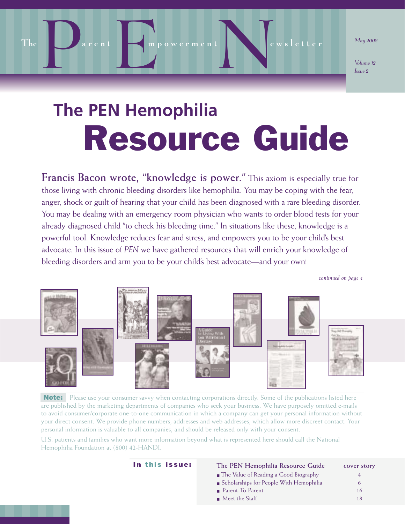

*Volume 12 Issue 2*

# Resource Guide **The PEN Hemophilia**

**Francis Bacon wrote, "knowledge is power."** This axiom is especially true for those living with chronic bleeding disorders like hemophilia. You may be coping with the fear, anger, shock or guilt of hearing that your child has been diagnosed with a rare bleeding disorder. You may be dealing with an emergency room physician who wants to order blood tests for your already diagnosed child "to check his bleeding time." In situations like these, knowledge is a powerful tool. Knowledge reduces fear and stress, and empowers you to be your child's best advocate. In this issue of *PEN* we have gathered resources that will enrich your knowledge of bleeding disorders and arm you to be your child's best advocate—and your own!

*continued on page 4*



**Note:** Please use your consumer savvy when contacting corporations directly. Some of the publications listed here are published by the marketing departments of companies who seek your business. We have purposely omitted e-mails to avoid consumer/corporate one-to-one communication in which a company can get your personal information without your direct consent. We provide phone numbers, addresses and web addresses, which allow more discreet contact. Your personal information is valuable to all companies, and should be released only with your consent.

U.S. patients and families who want more information beyond what is represented here should call the National Hemophilia Foundation at (800) 42-HANDI.

| In this issue: | The PEN Hemophilia Resource Guide            | cover story |
|----------------|----------------------------------------------|-------------|
|                | <b>The Value of Reading a Good Biography</b> |             |
|                | ■ Scholarships for People With Hemophilia    | 6           |
|                | Parent-To-Parent                             | 16          |
|                | $\blacksquare$ Meet the Staff                | 18          |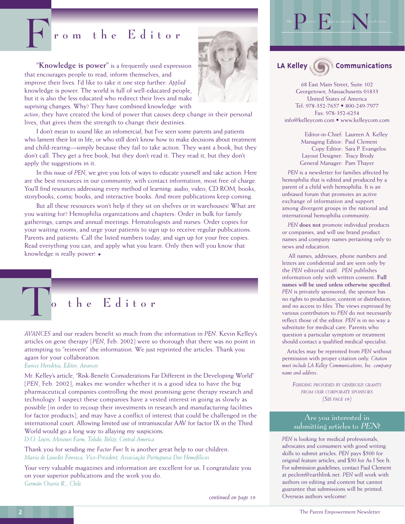## From the Editor

**"Knowledge is power"** is a frequently used expression that encourages people to read, inform themselves, and improve their lives. I'd like to take it one step further: *Applied* knowledge is power. The world is full of well-educated people, but it is also the less educated who redirect their lives and make suprising changes. Why? They have combined knowledge with



*action*; they have created the kind of power that causes deep change in their personal lives, that gives them the strength to change their destinies.

I don't mean to sound like an infomercial, but I've seen some parents and patients who lament their lot in life, or who still don't know how to make decisions about treatment and child-rearing—simply because they fail to take action. They want a book, but they don't call. They get a free book, but they don't read it. They read it, but they don't apply the suggestions in it.

In this issue of *PEN*, we give you lots of ways to educate yourself and take action. Here are the best resources in our community, with contact information, most free of charge. You'll find resources addressing every method of learning: audio, video, CD ROM, books, storybooks, comic books, and interactive books. And more publications keep coming.

But all these resources won't help if they sit on shelves or in warehouses! What are you waiting for? Hemophilia organizations and chapters: Order in bulk for family gatherings, camps and annual meetings. Hematologists and nurses: Order copies for your waiting rooms, and urge your patients to sign up to receive regular publications. Parents and patients: Call the listed numbers today, and sign up for your free copies. Read everything you can, and apply what you learn. Only then will you know that knowledge is really power!



*AVANCES* and our readers benefit so much from the information in *PEN*. Kevin Kelley's articles on gene therapy [*PEN*, Feb. 2002] were so thorough that there was no point in attempting to "reinvent" the information. We just reprinted the articles. Thank you again for your collaboration.

### *Eunice Hereditia, Editor, Avances*

Mr. Kelley's article, "Risk-Benefit Considerations Far Different in the Developing World" [*PEN*, Feb. 2002], makes me wonder whether it is a good idea to have the big pharmaceutical companies controlling the most promising gene therapy research and technology. I suspect these companies have a vested interest in going as slowly as possible [in order to recoup their investments in research and manufacturing facilities for factor products], and may have a conflict of interest that could be challenged in the international court. Allowing limited use of intramuscular AAV for factor IX in the Third World would go a long way to allaying my suspicions.

*D.O. Lewis, Missouri Farm, Toledo, Belize, Central America*

Thank you for sending me *Factor Fun*! It is another great help to our children. *Maria de Lourdes Fonseca, Vice-President, Associação Portuguesa Dos Hemofílicos*

Your very valuable magazines and information are excellent for us. I congratulate you on your superior publications and the work you do. *Germán Osorio R., Chile*



The  $\sum_{\text{arcsat}} \sum_{\text{provement}}$ 

68 East Main Street, Suite 102 Georgetown, Massachusetts 01833 United States of America Tel: 978-352-7657 • 800-249-7977 Fax: 978-352-6254 info@kelleycom.com • www.kelleycom.com

> Editor-in-Chief: Laureen A. Kelley Managing Editor: Paul Clement Copy Editor: Sara P. Evangelos Layout Designer: Tracy Brody General Manager: Pam Thayer

*PEN* is a newsletter for families affected by hemophilia that is edited and produced by a parent of a child with hemophilia. It is an unbiased forum that promotes an active exchange of information and support among divergent groups in the national and international hemophilia community.

*PEN* **does not** promote individual products or companies, and will use brand product names and company names pertaining only to news and education.

All names, addresses, phone numbers and letters are confidential and are seen only by the *PEN* editorial staff. *PEN* publishes information only with written consent. **Full names will be used unless otherwise specified.** *PEN* is privately sponsored; the sponsor has no rights to production, content or distribution, and no access to files. The views expressed by various contributors to *PEN* do not necessarily reflect those of the editor. *PEN* is in no way a substitute for medical care. Parents who question a particular symptom or treatment should contact a qualified medical specialist.

Articles may be reprinted from *PEN* without permission with proper citation only. *Citation must include LA Kelley Communications, Inc. company name and address*.

*FUNDING PROVIDED BY GENEROUS GRANTS FROM OUR CORPORATE SPONSORS (SEE PAGE 19)*

### Are you interested in submitting articles to PEN?

*PEN* is looking for medical professionals, advocates and consumers with good writing skills to submit articles. *PEN* pays \$500 for original feature articles, and \$50 for As I See It. For submission guidelines, contact Paul Clement at peclem@earthlink.net. *PEN* will work with authors on editing and content but cannot guarantee that submissions will be printed. *continued on page 19* Overseas authors welcome!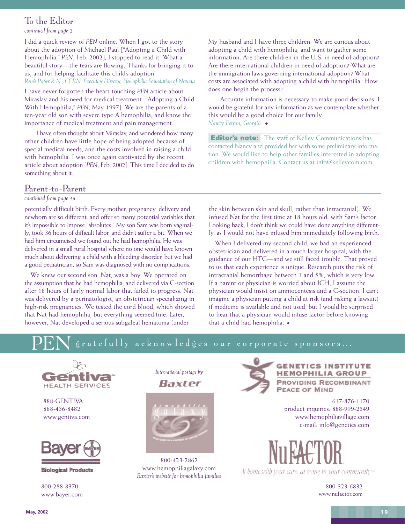### To the Editor

*continued from page 2*

I did a quick review of *PEN* online. When I got to the story about the adoption of Michael Paul ["Adopting a Child with Hemophilia," *PEN*, Feb. 2002], I stopped to read it. What a beautiful story—the tears are flowing. Thanks for bringing it to us, and for helping facilitate this child's adoption. *Renée Paper R.N., CCRN, Executive Director, Hemophilia Foundation of Nevada*

I have never forgotten the heart-touching *PEN* article about Miraslav and his need for medical treatment ["Adopting a Child With Hemophilia," *PEN*, May 1997]. We are the parents of a ten-year old son with severe type A hemophilia, and know the importance of medical treatment and pain management.

I have often thought about Miraslav, and wondered how many other children have little hope of being adopted because of special medical needs, and the costs involved in raising a child with hemophilia. I was once again captivated by the recent article about adoption [*PEN*, Feb. 2002]. This time I decided to do something about it.

### Parent-to-Parent

### *continued from page 16*

potentially difficult birth. Every mother, pregnancy, delivery and newborn are so different, and offer so many potential variables that it's impossible to impose "absolutes." My son Sam was born vaginally, took 36 hours of difficult labor, and didn't suffer a bit. When we had him circumcised we found out he had hemophilia. He was delivered in a small rural hospital where no one would have known much about delivering a child with a bleeding disorder, but we had a good pediatrician, so Sam was diagnosed with no complications.

We knew our second son, Nat, was a boy. We operated on the assumption that he had hemophilia, and delivered via C-section after 18 hours of fairly normal labor that failed to progress. Nat was delivered by a perinatologist, an obstetrician specializing in high-risk pregnancies. We tested the cord blood, which showed that Nat had hemophilia, but everything seemed fine. Later, however, Nat developed a serious subgaleal hematoma (under

My husband and I have three children. We are curious about adopting a child with hemophilia, and want to gather some information. Are there children in the U.S. in need of adoption? Are there international children in need of adoption? What are the immigration laws governing international adoption? What costs are associated with adopting a child with hemophilia? How does one begin the process?

Accurate information is necessary to make good decisions. I would be grateful for any information as we contemplate whether this would be a good choice for our family. *Nancy Petron, Georgia*

**Editor's note:** The staff of Kelley Communications has contacted Nancy and provided her with some preliminary information. We would like to help other families interested in adopting children with hemophilia. Contact us at info@kelleycom.com.

the skin between skin and skull, rather than intracranial). We infused Nat for the first time at 18 hours old, with Sam's factor. Looking back, I don't think we could have done anything differently, as I would not have infused him immediately following birth.

When I delivered my second child, we had an experienced obstetrician and delivered in a much larger hospital, with the guidance of our HTC—and we still faced trouble. That proved to us that each experience is unique. Research puts the risk of intracranial hemorrhage between 1 and 5%, which is very low. If a parent or physician is worried about ICH, I assume the physician would insist on amniocentesis and a C-section. I can't imagine a physician putting a child at risk (and risking a lawsuit) if medicine is available and not used, but I would be surprised to hear that a physician would infuse factor before knowing that a child had hemophilia.

### PEN gratefully acknowledges our corporate sponsors...



888-GENTIVA 888-436-8482 www.gentiva.com



**Biological Products** 

800-288-8370 www.bayer.com





800-423-2862 www.hemophiliagalaxy.com *Baxter's website for hemophilia families*



### **GENETICS INSTITUTE HEMOPHILIA GROUP PROVIDING RECOMBINANT PEACE OF MIND**

617-876-1170 product inquiries: 888-999-2349 www.hemophiliavillage.com e-mail: info@genetics.com

At home with your care, at home in your community  $\mathbb{R}$ 

800-323-6832 www.nufactor.com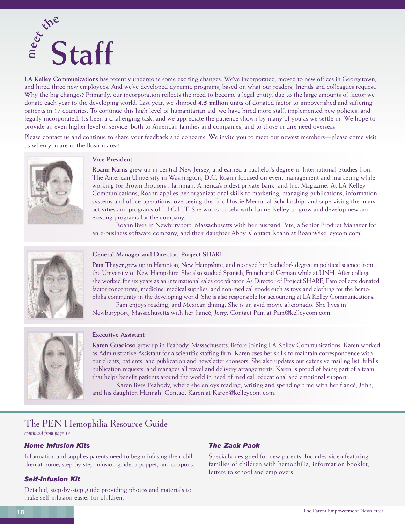

**LA Kelley Communications** has recently undergone some exciting changes. We've incorporated, moved to new offices in Georgetown, and hired three new employees. And we've developed dynamic programs, based on what our readers, friends and colleagues request. Why the big changes? Primarily, our incorporation reflects the need to become a legal entity, due to the large amounts of factor we donate each year to the developing world. Last year, we shipped **4.5 million units** of donated factor to impoverished and suffering patients in 17 countries. To continue this high level of humanitarian aid, we have hired more staff, implemented new policies, and legally incorporated. It's been a challenging task, and we appreciate the patience shown by many of you as we settle in. We hope to provide an even higher level of service, both to American families and companies, and to those in dire need overseas.

Please contact us and continue to share your feedback and concerns. We invite you to meet our newest members—please come visit us when you are in the Boston area!



### **Vice President**

**Roann Karns** grew up in central New Jersey, and earned a bachelor's degree in International Studies from The American University in Washington, D.C. Roann focused on event management and marketing while working for Brown Brothers Harriman, America's oldest private bank, and Inc. Magazine. At LA Kelley Communications, Roann applies her organizational skills to marketing; managing publications, information systems and office operations; overseeing the Eric Dostie Memorial Scholarship; and supervising the many activities and programs of L.I.G.H.T. She works closely with Laurie Kelley to grow and develop new and existing programs for the company.

Roann lives in Newburyport, Massachusetts with her husband Pete, a Senior Product Manager for an e-business software company, and their daughter Abby. Contact Roann at Roann@kelleycom.com.



### **General Manager and Director, Project SHARE**

**Pam Thayer** grew up in Hampton, New Hampshire, and received her bachelor's degree in political science from the University of New Hampshire. She also studied Spanish, French and German while at UNH. After college, she worked for six years as an international sales coordinator. As Director of Project SHARE, Pam collects donated factor concentrate, medicine, medical supplies, and non-medical goods such as toys and clothing for the hemophilia community in the developing world. She is also responsible for accounting at LA Kelley Communications.

Pam enjoys reading, and Mexican dining. She is an avid movie aficionado. She lives in Newburyport, Massachusetts with her fiancé, Jerry. Contact Pam at Pam@kelleycom.com.



### **Executive Assistant**

**Karen Guadioso** grew up in Peabody, Massachusetts. Before joining LA Kelley Communications, Karen worked as Administrative Assistant for a scientific staffing firm. Karen uses her skills to maintain correspondence with our clients, patients, and publication and newsletter sponsors. She also updates our extensive mailing list, fulfills publication requests, and manages all travel and delivery arrangements. Karen is proud of being part of a team that helps benefit patients around the world in need of medical, educational and emotional support.

Karen lives Peabody, where she enjoys reading, writing and spending time with her fiancé, John, and his daughter, Hannah. Contact Karen at Karen@kelleycom.com.

### The PEN Hemophilia Resource Guide

*continued from page 14*

### *Home Infusion Kits*

Information and supplies parents need to begin infusing their children at home; step-by-step infusion guide, a puppet, and coupons.

### *Self-Infusion Kit*

Detailed, step-by-step guide providing photos and materials to make self-infusion easier for children.

### *The Zack Pack*

Specially designed for new parents. Includes video featuring families of children with hemophilia, information booklet, letters to school and employers.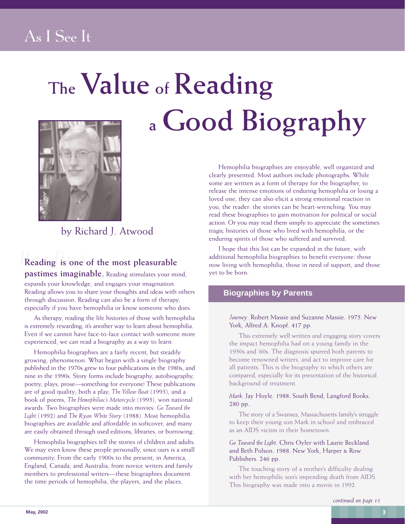## As I See It

# **The Value of Reading a Good Biography**



by Richard J. Atwood

# *Reading* **Reading is one of the most pleasurable**

**pastimes imaginable.** Reading stimulates your mind, expands your knowledge, and engages your imagination. Reading allows you to share your thoughts and ideas with others through discussion. Reading can also be a form of therapy, especially if you have hemophilia or know someone who does.

As therapy, reading the life histories of those with hemophilia is extremely rewarding; it's another way to learn about hemophilia. Even if we cannot have face-to-face contact with someone more experienced, we can read a biography as a way to learn.

Hemophilia biographies are a fairly recent, but steadily growing, phenomenon. What began with a single biography published in the 1970s grew to four publications in the 1980s, and nine in the 1990s. Story forms include biography, autobiography, poetry, plays, prose—something for everyone! These publications are of good quality; both a play, *The Yellow Boat* (1993), and a book of poems, *The Hemophiliac's Motorcycle* (1993), won national awards. Two biographies were made into movies: *Go Toward the Light* (1992) and *The Ryan White Story* (1988). Most hemophilia biographies are available and affordable in softcover, and many are easily obtained through used editions, libraries, or borrowing.

Hemophilia biographies tell the stories of children and adults. We may even know these people personally, since ours is a small community. From the early 1900s to the present; in America, England, Canada, and Australia; from novice writers and family members to professional writers—these biographies document the time periods of hemophilia, the players, and the places.

Hemophilia biographies are enjoyable, well organized and clearly presented. Most authors include photographs. While some are written as a form of therapy for the biographer, to release the intense emotions of enduring hemophilia or losing a loved one, they can also elicit a strong emotional reaction in you, the reader: the stories can be heart-wrenching. You may read these biographies to gain motivation for political or social action. Or you may read them simply to appreciate the sometimes tragic histories of those who lived with hemophilia, or the enduring spirits of those who suffered and survived.

I hope that this list can be expanded in the future, with additional hemophilia biographies to benefit everyone: those now living with hemophilia, those in need of support, and those yet to be born.

### **Biographies by Parents**

### *Journey*. Robert Massie and Suzanne Massie. 1975. New York, Alfred A. Knopf. 417 pp.

This extremely well written and engaging story covers the impact hemophilia had on a young family in the 1950s and '60s. The diagnosis spurred both parents to become renowned writers, and act to improve care for all patients. This is the biography to which others are compared, especially for its presentation of the historical background of treatment.

### *Mark*. Jay Hoyle. 1988. South Bend, Langford Books. 280 pp.

The story of a Swansea, Massachusetts family's struggle to keep their young son Mark in school and embraced as an AIDS victim in their hometown.

*Go Toward the Light*. Chris Oyler with Laurie Beckland and Beth Polson. 1988. New York, Harper & Row Publishers. 246 pp.

The touching story of a mother's difficulty dealing with her hemophilic son's impending death from AIDS. This biography was made into a movie in 1992.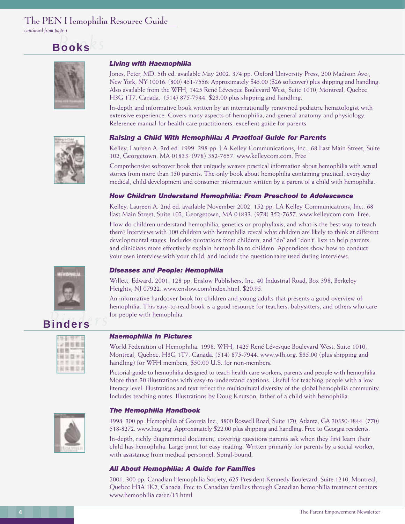### The PEN Hemophilia Resource Guide

*continued from page 1*

# *Books* **Books**



### *Living with Haemophilia*

Jones, Peter, MD. 5th ed. available May 2002. 374 pp. Oxford University Press, 200 Madison Ave., New York, NY 10016. (800) 451-7556. Approximately \$45.00 (\$26 softcover) plus shipping and handling. Also available from the WFH, 1425 René Lévesque Boulevard West, Suite 1010, Montreal, Quebec, H3G 1T7, Canada. (514) 875-7944. \$23.00 plus shipping and handling.

In-depth and informative book written by an internationally renowned pediatric hematologist with extensive experience. Covers many aspects of hemophilia, and general anatomy and physiology. Reference manual for health care practitioners, excellent guide for parents.

### *Raising a Child With Hemophilia: A Practical Guide for Parents*

Kelley, Laureen A. 3rd ed. 1999. 398 pp. LA Kelley Communications, Inc., 68 East Main Street, Suite 102, Georgetown, MA 01833. (978) 352-7657. www.kelleycom.com. Free.

Comprehensive softcover book that uniquely weaves practical information about hemophilia with actual stories from more than 150 parents. The only book about hemophilia containing practical, everyday medical, child development and consumer information written by a parent of a child with hemophilia.

### *How Children Understand Hemophilia: From Preschool to Adolescence*

Kelley, Laureen A. 2nd ed. available November 2002. 152 pp. LA Kelley Communications, Inc., 68 East Main Street, Suite 102, Georgetown, MA 01833. (978) 352-7657. www.kelleycom.com. Free.

How do children understand hemophilia, genetics or prophylaxis, and what is the best way to teach them? Interviews with 100 children with hemophilia reveal what children are likely to think at different developmental stages. Includes quotations from children, and "do" and "don't" lists to help parents and clinicians more effectively explain hemophilia to children. Appendices show how to conduct your own interview with your child, and include the questionnaire used during interviews.

### *Diseases and People: Hemophilia*

Willett, Edward. 2001. 128 pp. Enslow Publishers, Inc. 40 Industrial Road, Box 398, Berkeley Heights, NJ 07922. www.enslow.com/index.html. \$20.95.

An informative hardcover book for children and young adults that presents a good overview of hemophilia. This easy-to-read book is a good resource for teachers, babysitters, and others who care for people with hemophilia.



### *Haemophilia in Pictures*

World Federation of Hemophilia. 1998. WFH, 1425 René Lévesque Boulevard West, Suite 1010, Montreal, Quebec, H3G 1T7, Canada. (514) 875-7944. www.wfh.org. \$35.00 (plus shipping and handling) for WFH members, \$50.00 U.S. for non-members.

Pictorial guide to hemophilia designed to teach health care workers, parents and people with hemophilia. More than 30 illustrations with easy-to-understand captions. Useful for teaching people with a low literacy level. Illustrations and text reflect the multicultural diversity of the global hemophilia community. Includes teaching notes. Illustrations by Doug Knutson, father of a child with hemophilia.

### *The Hemophilia Handbook*



1998. 300 pp. Hemophilia of Georgia Inc., 8800 Roswell Road, Suite 170, Atlanta, GA 30350-1844. (770) 518-8272. www.hog.org. Approximately \$22.00 plus shipping and handling. Free to Georgia residents. In-depth, richly diagrammed document, covering questions parents ask when they first learn their child has hemophilia. Large print for easy reading. Written primarily for parents by a social worker, with assistance from medical personnel. Spiral-bound.

### *All About Hemophilia: A Guide for Families*

2001. 300 pp. Canadian Hemophilia Society, 625 President Kennedy Boulevard, Suite 1210, Montreal, Quebec H3A 1K2, Canada. Free to Canadian families through Canadian hemophilia treatment centers. www.hemophilia.ca/en/13.html



# *Binders* **Binders**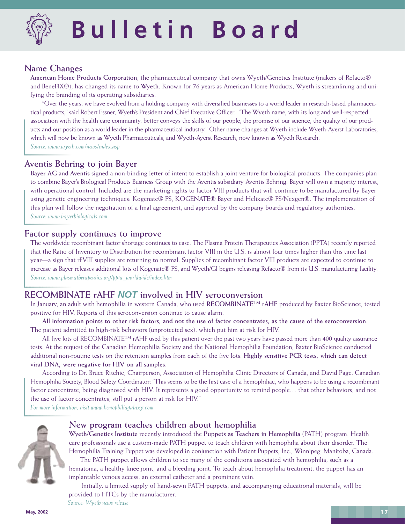

# T **Bulletin Board**

### **Name Changes**

**American Home Products Corporation**, the pharmaceutical company that owns Wyeth/Genetics Institute (makers of Refacto® and BeneFIX®), has changed its name to **Wyeth**. Known for 76 years as American Home Products, Wyeth is streamlining and unifying the branding of its operating subsidiaries.

"Over the years, we have evolved from a holding company with diversified businesses to a world leader in research-based pharmaceutical products," said Robert Essner, Wyeth's President and Chief Executive Officer. "The Wyeth name, with its long and well-respected association with the health care community, better conveys the skills of our people, the promise of our science, the quality of our products and our position as a world leader in the pharmaceutical industry." Other name changes at Wyeth include Wyeth-Ayerst Laboratories, which will now be known as Wyeth Pharmaceuticals, and Wyeth-Ayerst Research, now known as Wyeth Research. *Source: www.wyeth.com/news/index.asp*

### **Aventis Behring to join Bayer**

**Bayer AG** and **Aventis** signed a non-binding letter of intent to establish a joint venture for biological products. The companies plan to combine Bayer's Biological Products Business Group with the Aventis subsidiary Aventis Behring. Bayer will own a majority interest, with operational control. Included are the marketing rights to factor VIII products that will continue to be manufactured by Bayer using genetic engineering techniques: Kogenate® FS, KOGENATE® Bayer and Helixate® FS/Nexgen®. The implementation of this plan will follow the negotiation of a final agreement, and approval by the company boards and regulatory authorities. *Source: www.bayerbiologicals.com*

### **Factor supply continues to improve**

The worldwide recombinant factor shortage continues to ease. The Plasma Protein Therapeutics Association (PPTA) recently reported that the Ratio of Inventory to Distribution for recombinant factor VIII in the U.S. is almost four times higher than this time last year—a sign that rFVIII supplies are returning to normal. Supplies of recombinant factor VIII products are expected to continue to increase as Bayer releases additional lots of Kogenate® FS, and Wyeth/GI begins releasing Refacto® from its U.S. manufacturing facility. *Source: www.plasmatherapeutics.org/ppta\_worldwide/index.htm*

### **RECOMBINATE rAHF NOT involved in HIV seroconversion**

In January, an adult with hemophilia in western Canada, who used **RECOMBINATETM rAHF** produced by Baxter BioScience, tested positive for HIV. Reports of this seroconversion continue to cause alarm.

**All information points to other risk factors, and not the use of factor concentrates, as the cause of the seroconversion**. The patient admitted to high-risk behaviors (unprotected sex), which put him at risk for HIV.

All five lots of RECOMBINATE™ rAHF used by this patient over the past two years have passed more than 400 quality assurance tests. At the request of the Canadian Hemophilia Society and the National Hemophilia Foundation, Baxter BioScience conducted additional non-routine tests on the retention samples from each of the five lots. **Highly sensitive PCR tests, which can detect viral DNA, were negative for HIV on all samples.**

According to Dr. Bruce Ritchie, Chairperson, Association of Hemophilia Clinic Directors of Canada, and David Page, Canadian Hemophilia Society, Blood Safety Coordinator: "This seems to be the first case of a hemophiliac, who happens to be using a recombinant factor concentrate, being diagnosed with HIV. It represents a good opportunity to remind people… that other behaviors, and not the use of factor concentrates, still put a person at risk for HIV."

*For more information, visit www.hemophiliagalaxy.com*



### **New program teaches children about hemophilia**

**Wyeth/Genetics Institute** recently introduced the **Puppets as Teachers in Hemophilia** (PATH) program. Health care professionals use a custom-made PATH puppet to teach children with hemophilia about their disorder. The Hemophilia Training Puppet was developed in conjunction with Patient Puppets, Inc., Winnipeg, Manitoba, Canada.

The PATH puppet allows children to see many of the conditions associated with hemophilia, such as a hematoma, a healthy knee joint, and a bleeding joint. To teach about hemophilia treatment, the puppet has an implantable venous access, an external catheter and a prominent vein.

Initially, a limited supply of hand-sewn PATH puppets, and accompanying educational materials, will be provided to HTCs by the manufacturer.

*Source: Wyeth news release*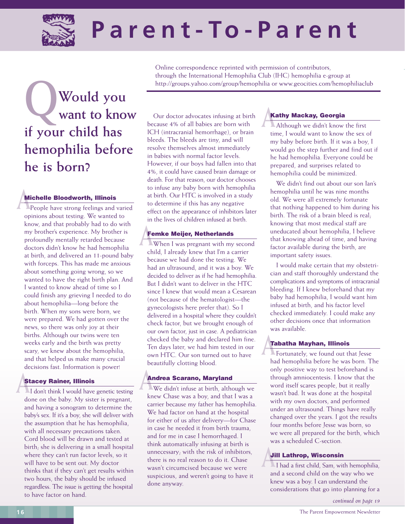

( **Parent-To-Parent**

Online correspondence reprinted with permission of contributors, through the International Hemophilia Club (IHC) hemophilia e-group at

# http://groups.yahoo.com/group/hemophilia or www.geocities.com/hemophiliaclub<br> **Would you**<br> **Want to know** Our doctor advocates infusing at birth **Kathy Mackay, Georgia want to know if your child has hemophilia before he is born?**

**A**<br>**A** People have strong feelings and<br>**A** People have strong feelings and People have strong feelings and varied opinions about testing. We wanted to know, and that probably had to do with my brother's experience. My brother is profoundly mentally retarded because doctors didn't know he had hemophilia at birth, and delivered an 11-pound baby with forceps. This has made me anxious about something going wrong, so we wanted to have the right birth plan. And I wanted to know ahead of time so I could finish any grieving I needed to do about hemophilia—long before the birth. When my sons were born, we were prepared. We had gotten over the news, so there was only joy at their births. Although our twins were ten weeks early and the birth was pretty scary, we knew about the hemophilia, and that helped us make many crucial decisions fast. Information is power!

### **Stacey Rainer, Illinois**

**A Stacey Rainer, Illinois**<br>I don't think I would have genetic testing done on the baby. My sister is pregnant, and having a sonogram to determine the baby's sex. If it's a boy, she will deliver with the assumption that he has hemophilia, with all necessary precautions taken. Cord blood will be drawn and tested at birth; she is delivering in a small hospital where they can't run factor levels, so it will have to be sent out. My doctor thinks that if they can't get results within two hours, the baby should be infused regardless. The issue is getting the hospital to have factor on hand.

Our doctor advocates infusing at birth because 4% of all babies are born with ICH (intracranial hemorrhage), or brain bleeds. The bleeds are tiny, and will resolve themselves almost immediately in babies with normal factor levels. However, if our boys had fallen into that 4%, it could have caused brain damage or death. For that reason, our doctor chooses to infuse any baby born with hemophilia at birth. Our HTC is involved in a study to determine if this has any negative effect on the appearance of inhibitors later in the lives of children infused at birth.

**Femke Meijer, Netherlands**<br>
When I was pregnant with my When I was pregnant with my second child, I already knew that I'm a carrier because we had done the testing. We had an ultrasound, and it was a boy. We decided to deliver as if he had hemophilia. But I didn't want to deliver in the HTC since I knew that would mean a Cesarean (not because of the hematologist—the gynecologists here prefer that). So I delivered in a hospital where they couldn't check factor, but we brought enough of our own factor, just in case. A pediatrician checked the baby and declared him fine. Ten days later, we had him tested in our own HTC. Our son turned out to have beautifully clotting blood.

**Andrea Scarano, Maryland**<br>We didn't infuse at birth, althe We didn't infuse at birth, although we knew Chase was a boy, and that I was a carrier because my father has hemophilia. We had factor on hand at the hospital for either of us after delivery—for Chase in case he needed it from birth trauma, and for me in case I hemorrhaged. I think automatically infusing at birth is unnecessary; with the risk of inhibitors, there is no real reason to do it. Chase wasn't circumcised because we were suspicious, and weren't going to have it done anyway.

**Kathy Mackay, Georgia**<br>Although we didn't know Although we didn't know the first time, I would want to know the sex of my baby before birth. If it was a boy, I would go the step further and find out if he had hemophilia. Everyone could be prepared, and surprises related to hemophilia could be minimized.

We didn't find out about our son Ian's hemophilia until he was nine months old. We were all extremely fortunate that nothing happened to him during his birth. The risk of a brain bleed is real; knowing that most medical staff are uneducated about hemophilia, I believe that knowing ahead of time, and having factor available during the birth, are important safety issues.

I would make certain that my obstetrician and staff thoroughly understand the complications and symptoms of intracranial bleeding. If I knew beforehand that my baby had hemophilia, I would want him infused at birth, and his factor level checked immediately. I could make any other decisions once that information was available.

**A Tabatha Mayhan, Illinois**<br>**A** Fortunately, we found out the Fortunately, we found out that Jesse had hemophilia before he was born. The only positive way to test beforehand is through amniocentesis. I know that the word itself scares people, but it really wasn't bad. It was done at the hospital with my own doctors, and performed under an ultrasound. Things have really changed over the years. I got the results four months before Jesse was born, so we were all prepared for the birth, which was a scheduled C-section.

**A**<br>**Li** had a first child, Sam, with I had a first child, Sam, with hemophilia, and a second child on the way who we knew was a boy. I can understand the considerations that go into planning for a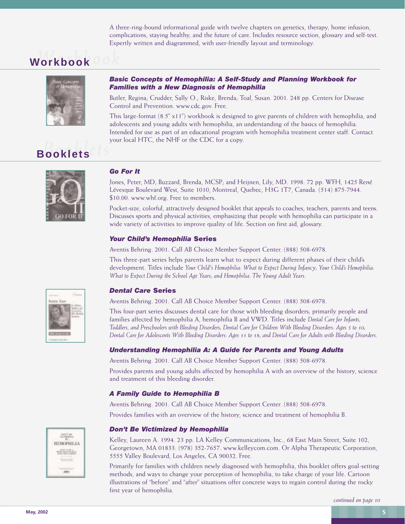A three-ring-bound informational guide with twelve chapters on genetics, therapy, home infusion, complications, staying healthy, and the future of care. Includes resource section, glossary and self-test. Expertly written and diagrammed, with user-friendly layout and terminology.

# *Workbook* **Workbook**



### *Basic Concepts of Hemophilia: A Self-Study and Planning Workbook for Families with a New Diagnosis of Hemophilia*

Butler, Regina; Crudder, Sally O.; Riske, Brenda; Toal, Susan. 2001. 248 pp. Centers for Disease Control and Prevention. www.cdc.gov. Free.

*Booklets* **Booklets** This large-format (8.5" x11") workbook is designed to give parents of children with hemophilia, and adolescents and young adults with hemophilia, an understanding of the basics of hemophilia. Intended for use as part of an educational program with hemophilia treatment center staff. Contact your local HTC, the NHF or the CDC for a copy.



### *Go For It*

Jones, Peter, MD; Buzzard, Brenda, MCSP; and Heijnen, Lily, MD. 1998. 72 pp. WFH, 1425 René Lévesque Boulevard West, Suite 1010, Montreal, Quebec, H3G 1T7, Canada. (514) 875-7944. \$10.00. www.whf.org. Free to members.

Pocket-size, colorful, attractively designed booklet that appeals to coaches, teachers, parents and teens. Discusses sports and physical activities, emphasizing that people with hemophilia can participate in a wide variety of activities to improve quality of life. Section on first aid, glossary.

### *Your Child's Hemophilia* **Series**

Aventis Behring. 2001. Call AB Choice Member Support Center. (888) 508-6978.

This three-part series helps parents learn what to expect during different phases of their child's development. Titles include *Your Child's Hemophilia: What to Expect During Infancy; Your Child's Hemophilia: What to Expect During the School Age Years; and Hemophilia: The Young Adult Years.*

### *Dental Care* **Series**

Aventis Behring. 2001. Call AB Choice Member Support Center. (888) 508-6978.

This four-part series discusses dental care for those with bleeding disorders; primarily people and families affected by hemophilia A, hemophilia B and VWD. Titles include *Dental Care for Infants, Toddlers, and Preschoolers with Bleeding Disorders; Dental Care for Children With Bleeding Disorders: Ages 5 to 10; Dental Care for Adolescents With Bleeding Disorders: Ages 11 to 18; and Dental Care for Adults with Bleeding Disorders.*

### *Understanding Hemophilia A: A Guide for Parents and Young Adults*

Aventis Behring. 2001. Call AB Choice Member Support Center. (888) 508-6978.

Provides parents and young adults affected by hemophilia A with an overview of the history, science and treatment of this bleeding disorder.

### *A Family Guide to Hemophilia B*

Aventis Behring. 2001. Call AB Choice Member Support Center. (888) 508-6978. Provides families with an overview of the history, science and treatment of hemophilia B.

### *Don't Be Victimized by Hemophilia*

Kelley, Laureen A. 1994. 23 pp. LA Kelley Communications, Inc., 68 East Main Street, Suite 102, Georgetown, MA 01833. (978) 352-7657. www.kelleycom.com. Or Alpha Therapeutic Corporation, 5555 Valley Boulevard, Los Angeles, CA 90032. Free.

Primarily for families with children newly diagnosed with hemophilia, this booklet offers goal-setting methods, and ways to change your perception of hemophilia, to take charge of your life. Cartoon illustrations of "before" and "after" situations offer concrete ways to regain control during the rocky first year of hemophilia.



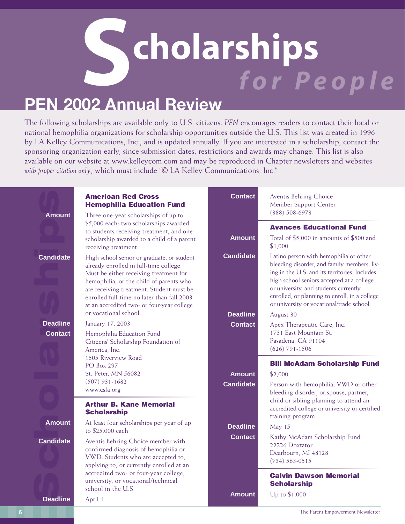# **Scholarships**  *for People*

## **PEN 2002 Annual Review**

The following scholarships are available only to U.S. citizens. *PEN* encourages readers to contact their local or national hemophilia organizations for scholarship opportunities outside the U.S. This list was created in 1996 by LA Kelley Communications, Inc., and is updated annually. If you are interested in a scholarship, contact the sponsoring organization early, since submission dates, restrictions and awards may change. This list is also available on our website at www.kelleycom.com and may be reproduced in Chapter newsletters and websites *with proper citation only*, which must include "© LA Kelley Communications, Inc."

| <b>Amount</b>                     | <b>American Red Cross</b><br><b>Hemophilia Education Fund</b><br>Three one-year scholarships of up to                                                                                                                                                                                                             | <b>Contact</b>   | Aventis Behring Choice<br>Member Support Center<br>$(888) 508 - 6978$                                                                                                                                                                                                                                                      |
|-----------------------------------|-------------------------------------------------------------------------------------------------------------------------------------------------------------------------------------------------------------------------------------------------------------------------------------------------------------------|------------------|----------------------------------------------------------------------------------------------------------------------------------------------------------------------------------------------------------------------------------------------------------------------------------------------------------------------------|
|                                   | \$5,000 each: two scholarships awarded<br>to students receiving treatment, and one<br>scholarship awarded to a child of a parent<br>receiving treatment.                                                                                                                                                          | <b>Amount</b>    | <b>Avances Educational Fund</b><br>Total of \$5,000 in amounts of \$500 and<br>\$1,000                                                                                                                                                                                                                                     |
| <b>Candidate</b>                  | High school senior or graduate, or student<br>already enrolled in full-time college.<br>Must be either receiving treatment for<br>hemophilia, or the child of parents who<br>are receiving treatment. Student must be<br>enrolled full-time no later than fall 2003<br>at an accredited two- or four-year college | <b>Candidate</b> | Latino person with hemophilia or other<br>bleeding disorder, and family members, liv-<br>ing in the U.S. and its territories. Includes<br>high school seniors accepted at a college<br>or university, and students currently<br>enrolled, or planning to enroll, in a college<br>or university or vocational/trade school. |
|                                   | or vocational school.                                                                                                                                                                                                                                                                                             | <b>Deadline</b>  | August 30                                                                                                                                                                                                                                                                                                                  |
| <b>Deadline</b><br><b>Contact</b> | January 17, 2003<br>Hemophilia Education Fund<br>Citizens' Scholarship Foundation of<br>America, Inc.<br>1505 Riverview Road                                                                                                                                                                                      | <b>Contact</b>   | Apex Therapeutic Care, Inc.<br>1731 East Mountain St.<br>Pasadena, CA 91104<br>$(626)$ 791-1506                                                                                                                                                                                                                            |
|                                   | <b>PO</b> Box 297                                                                                                                                                                                                                                                                                                 |                  | <b>Bill McAdam Scholarship Fund</b>                                                                                                                                                                                                                                                                                        |
|                                   | St. Peter, MN 56082                                                                                                                                                                                                                                                                                               | <b>Amount</b>    | \$2,000                                                                                                                                                                                                                                                                                                                    |
|                                   | $(507)$ 931-1682<br>www.csfa.org                                                                                                                                                                                                                                                                                  | <b>Candidate</b> | Person with hemophilia, VWD or other<br>bleeding disorder, or spouse, partner,<br>child or sibling planning to attend an                                                                                                                                                                                                   |
|                                   | <b>Arthur B. Kane Memorial</b><br><b>Scholarship</b>                                                                                                                                                                                                                                                              |                  | accredited college or university or certified                                                                                                                                                                                                                                                                              |
| <b>Amount</b>                     | At least four scholarships per year of up<br>to \$25,000 each                                                                                                                                                                                                                                                     | <b>Deadline</b>  | training program.<br>May 15                                                                                                                                                                                                                                                                                                |
| <b>Candidate</b>                  | Aventis Behring Choice member with<br>confirmed diagnosis of hemophilia or<br>VWD. Students who are accepted to,<br>applying to, or currently enrolled at an                                                                                                                                                      | <b>Contact</b>   | Kathy McAdam Scholarship Fund<br>22226 Doxtator<br>Dearbourn, MI 48128<br>$(734) 563 - 0515$                                                                                                                                                                                                                               |
|                                   | accredited two- or four-year college,<br>university, or vocational/technical<br>school in the U.S.                                                                                                                                                                                                                |                  | <b>Calvin Dawson Memorial</b><br><b>Scholarship</b>                                                                                                                                                                                                                                                                        |
| <b>Deadline</b>                   | April 1                                                                                                                                                                                                                                                                                                           | Amount           | Up to \$1,000                                                                                                                                                                                                                                                                                                              |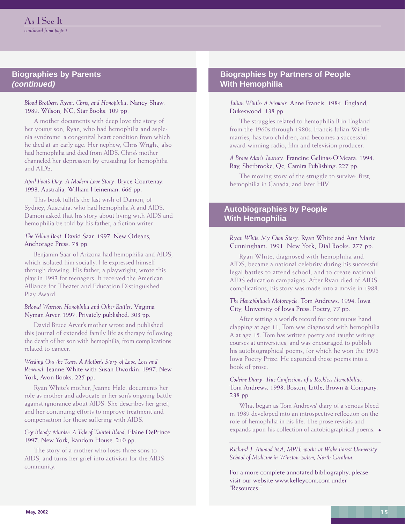### **Biographies by Parents (continued)**

### *Blood Brothers: Ryan, Chris, and Hemophilia*. Nancy Shaw. 1989. Wilson, NC, Star Books. 109 pp.

A mother documents with deep love the story of her young son, Ryan, who had hemophilia and asplenia syndrome, a congenital heart condition from which he died at an early age. Her nephew, Chris Wright, also had hemophilia and died from AIDS. Chris's mother channeled her depression by crusading for hemophilia and AIDS.

### *April Fool's Day: A Modern Love Story*. Bryce Courtenay. 1993. Australia, William Heineman. 666 pp.

This book fulfills the last wish of Damon, of Sydney, Australia, who had hemophilia A and AIDS. Damon asked that his story about living with AIDS and hemophilia be told by his father, a fiction writer.

### *The Yellow Boat*. David Saar. 1997. New Orleans, Anchorage Press. 78 pp.

Benjamin Saar of Arizona had hemophilia and AIDS, which isolated him socially. He expressed himself through drawing. His father, a playwright, wrote this play in 1993 for teenagers. It received the American Alliance for Theater and Education Distinguished Play Award.

### *Beloved Warrior: Hemophilia and Other Battles*. Virginia Nyman Arver. 1997. Privately published. 303 pp.

David Bruce Arver's mother wrote and published this journal of extended family life as therapy following the death of her son with hemophilia, from complications related to cancer.

### *Weeding Out the Tears: A Mother's Story of Love, Loss and Renewal.* Jeanne White with Susan Dworkin. 1997. New York, Avon Books. 225 pp.

Ryan White's mother, Jeanne Hale, documents her role as mother and advocate in her son's ongoing battle against ignorance about AIDS. She describes her grief, and her continuing efforts to improve treatment and compensation for those suffering with AIDS.

### *Cry Bloody Murder: A Tale of Tainted Blood*. Elaine DePrince. 1997. New York, Random House. 210 pp.

The story of a mother who loses three sons to AIDS, and turns her grief into activism for the AIDS community.

### **Biographies by Partners of People With Hemophilia**

### *Julian Wintle: A Memoir*. Anne Francis. 1984. England, Dukeswood. 138 pp.

The struggles related to hemophilia B in England from the 1960s through 1980s. Francis Julian Wintle marries, has two children, and becomes a successful award-winning radio, film and television producer.

### *A Brave Man's Journey*. Francine Gelinas-O'Meara. 1994. Ray, Sherbrooke, Qc, Camira Publishing. 227 pp.

The moving story of the struggle to survive: first, hemophilia in Canada, and later HIV.

### **Autobiographies by People With Hemophilia**

### *Ryan White: My Own Story*. Ryan White and Ann Marie Cunningham. 1991. New York, Dial Books. 277 pp.

Ryan White, diagnosed with hemophilia and AIDS, became a national celebrity during his successful legal battles to attend school, and to create national AIDS education campaigns. After Ryan died of AIDS complications, his story was made into a movie in 1988.

### *The Hemophiliac's Motorcycle*. Tom Andrews. 1994. Iowa City, University of Iowa Press. Poetry, 77 pp.

After setting a world's record for continuous hand clapping at age 11, Tom was diagnosed with hemophilia A at age 15. Tom has written poetry and taught writing courses at universities, and was encouraged to publish his autobiographical poems, for which he won the 1993 Iowa Poetry Prize. He expanded these poems into a book of prose.

### *Codeine Diary: True Confessions of a Reckless Hemophiliac.* Tom Andrews. 1998. Boston, Little, Brown & Company. 238 pp.

What began as Tom Andrews' diary of a serious bleed in 1989 developed into an introspective reflection on the role of hemophilia in his life. The prose revisits and expands upon his collection of autobiographical poems.

### *Richard J. Atwood MA, MPH, works at Wake Forest University School of Medicine in Winston-Salem, North Carolina.*

For a more complete annotated bibliography, please visit our website www.kelleycom.com under "Resources."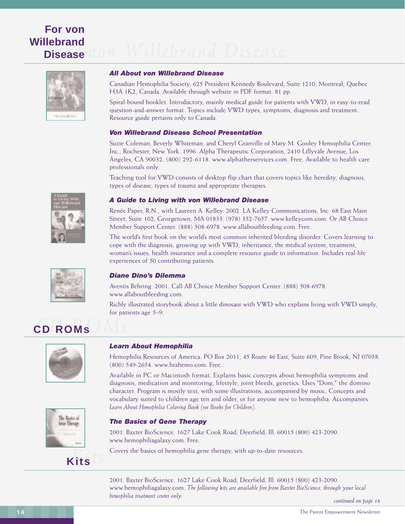### **For von Willebrand Disease**



### *All About von Willebrand Disease*

Canadian Hemophilia Society, 625 President Kennedy Boulevard, Suite 1210, Montreal, Quebec H3A 1K2, Canada. Available through website in PDF format. 81 pp.

Spiral-bound booklet. Introductory, mainly medical guide for patients with VWD, in easy-to-read question-and-answer format. Topics include VWD types, symptoms, diagnosis and treatment. Resource guide pertains only to Canada.

### *Von Willebrand Disease School Presentation*

Suzie Coleman, Beverly Whiteman, and Cheryl Granville of Mary M. Gooley Hemophilia Center, Inc., Rochester, New York. 1996. Alpha Therapeutic Corporation, 2410 Lillyvale Avenue, Los Angeles, CA 90032. (800) 292-6118. www.alphatherservices.com. Free. Available to health care professionals only.

Teaching tool for VWD consists of desktop flip chart that covers topics like heredity, diagnosis, types of disease, types of trauma and appropriate therapies.

### *A Guide to Living with von Willebrand Disease*

Renée Paper, R.N., with Laureen A. Kelley. 2002. LA Kelley Communications, Inc. 68 East Main Street, Suite 102, Georgetown, MA 01833. (978) 352-7657. www.kelleycom.com. Or AB Choice Member Support Center. (888) 508-6978. www.allaboutbleeding.com. Free.

The world's first book on the world's most common inherited bleeding disorder. Covers learning to cope with the diagnosis, growing up with VWD, inheritance, the medical system, treatment, woman's issues, health insurance and a complete resource guide to information. Includes real-life experiences of 50 contributing patients.



### *Diane Dino's Dilemma*

Aventis Behring. 2001. Call AB Choice Member Support Center. (888) 508-6978. www.allaboutbleeding.com.

Richly illustrated storybook about a little dinosaur with VWD who explains living with VWD simply, for patients age 5–9.

# *CD ROMs* **CD ROMs**



lle Baics al nie Threage

*Kits* **Kits**

### *Learn About Hemophilia*

Hemophilia Resources of America. PO Box 2011, 45 Route 46 East, Suite 609, Pine Brook, NJ 07058. (800) 549-2654. www.hrahemo.com. Free.

Available in PC or Macintosh format. Explains basic concepts about hemophilia symptoms and diagnosis, medication and monitoring, lifestyle, joint bleeds, genetics. Uses "Dom," the domino character. Program is mostly text, with some illustrations, accompanied by music. Concepts and vocabulary suited to children age ten and older, or for anyone new to hemophilia. Accompanies *Learn About Hemophilia Coloring Book (see Books for Children).*



2001. Baxter BioScience. 1627 Lake Cook Road, Deerfield, Ill. 60015 (800) 423-2090. www.hemophiliagalaxy.com. Free.

Covers the basics of hemophilia gene therapy, with up-to-date resources.

2001. Baxter BioScience. 1627 Lake Cook Road, Deerfield, Ill. 60015 (800) 423-2090. www.hemophiliagalaxy.com. *The following kits are available free from Baxter BioScience, through your local hemophilia treatment center only.*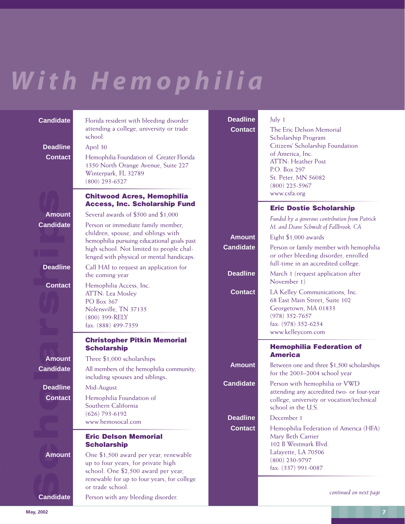# *With Hemophilia*

| <b>Candidate</b> | Florida resident with bleeding disorder<br>attending a college, university or trade<br>school.                                                                                                                   |    |
|------------------|------------------------------------------------------------------------------------------------------------------------------------------------------------------------------------------------------------------|----|
| <b>Deadline</b>  | April 30                                                                                                                                                                                                         |    |
| <b>Contact</b>   | Hemophilia Foundation of Greater Florida<br>1350 North Orange Avenue, Suite 227<br>Winterpark, FL 32789<br>$(800)$ 293-6527                                                                                      |    |
|                  | <b>Chitwood Acres, Hemophilia</b><br><b>Access, Inc. Scholarship Fund</b>                                                                                                                                        |    |
| <b>Amount</b>    | Several awards of \$500 and \$1,000                                                                                                                                                                              |    |
| <b>Candidate</b> | Person or immediate family member,<br>children, spouse, and siblings with<br>hemophilia pursuing educational goals past<br>high school. Not limited to people chal-<br>lenged with physical or mental handicaps. | C. |
| <b>Deadline</b>  | Call HAI to request an application for<br>the coming year                                                                                                                                                        |    |
| <b>Contact</b>   | Hemophilia Access, Inc.<br><b>ATTN: Lea Moslev</b><br>PO Box 367<br>Nolensville, TN 37135<br>(800) 399-RELY<br>fax: (888) 499-7359                                                                               |    |
|                  | <b>Christopher Pitkin Memorial</b><br><b>Scholarship</b>                                                                                                                                                         |    |
| <b>Amount</b>    | Three \$1,000 scholarships                                                                                                                                                                                       |    |
| <b>Candidate</b> | All members of the hemophilia community,<br>including spouses and siblings.                                                                                                                                      |    |
| <b>Deadline</b>  | Mid-August                                                                                                                                                                                                       | C. |
| <b>Contact</b>   | Hemophilia Foundation of<br>Southern California<br>$(626)$ 793-6192<br>www.hemosocal.com                                                                                                                         |    |
|                  | <b>Eric Delson Memorial</b><br><b>Scholarship</b>                                                                                                                                                                |    |
| <b>Amount</b>    | One \$1,500 award per year, renewable<br>up to four years, for private high<br>school. One \$2,500 award per year,<br>renewable for up to four years, for college<br>or trade school.                            |    |
| <b>Candidate</b> | Person with any bleeding disorder.                                                                                                                                                                               |    |
| May, 2002        |                                                                                                                                                                                                                  |    |

| Deadline<br>July 1 |
|--------------------|
|--------------------|

**Contact** The Eric Delson Memorial Scholarship Program Citizens' Scholarship Foundation of America, Inc. ATTN: Heather Post P.O. Box 297 St. Peter, MN 56082 (800) 225-5967 www.csfa.org

### **Eric Dostie Scholarship**

*Funded by a generous contribution from Patrick M. and Diane Schmidt of Fallbrook, CA*

**Amount** Eight \$1,000 awards

**Candidate** Person or family member with hemophilia or other bleeding disorder, enrolled full-time in an accredited college.

**Deadline** March 1 (request application after November 1)

**Contact** LA Kelley Communications, Inc. 68 East Main Street, Suite 102 Georgetown, MA 01833 (978) 352-7657 fax: (978) 352-6254 www.kelleycom.com

### **Hemophilia Federation of America**

**Amount** Between one and three \$1,500 scholarships for the 2003–2004 school year

**andidate** Person with hemophilia or VWD

attending any accredited two- or four-year college, university or vocation/technical school in the U.S. **Deadline** December 1

**Contact** Hemophilia Federation of America (HFA) Mary Beth Carrier 102 B Westmark Blvd. Lafayette, LA 70506 (800) 230-9797 fax: (337) 991-0087

*continued on next page*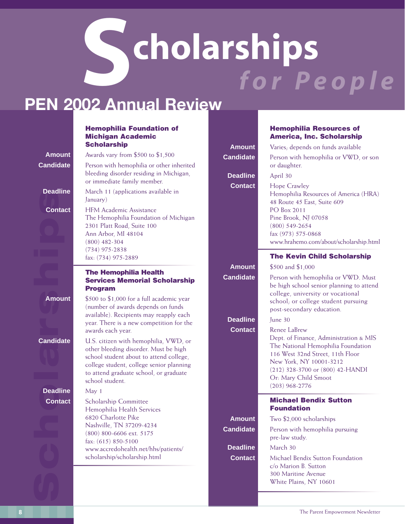# **Scholarships** *for People*

## **PEN 2002 Annual Review**

### **Hemophilia Foundation of Michigan Academic Scholarship**

bleeding disorder residing in Michigan,

or immediate family member.

**Amount** Awards vary from \$500 to \$1,500 **Candidate** Person with hemophilia or other inherited

**Conta**<br>Conta<br>Candida<br>Deadlir<br>Conta **Deadline** March 11 (applications available in

**Deadline** May 1

January) **Contact** HFM Academic Assistance The Hemophilia Foundation of Michigan 2301 Platt Road, Suite 100 Ann Arbor, MI 48104 (800) 482-304 (734) 975-2838 fax: (734) 975-2889

### **The Hemophilia Health Services Memorial Scholarship Program**

**Amount** \$500 to \$1,000 for a full academic year (number of awards depends on funds available). Recipients may reapply each year. There is a new competition for the awards each year.

**Candidate U.S. citizen with hemophilia, VWD, or** other bleeding disorder. Must be high school student about to attend college, college student, college senior planning to attend graduate school, or graduate school student.

**Contact** Scholarship Committee Hemophilia Health Services 6820 Charlotte Pike Nashville, TN 37209-4234 (800) 800-6606 ext. 5175 fax: (615) 850-5100 www.accredohealth.net/hhs/patients/ scholarship/scholarship.html

**Deadline April 30** 

### **Hemophilia Resources of America, Inc. Scholarship**

**Amount** Varies; depends on funds available **Candidate** Person with hemophilia or VWD, or son or daughter. **Contact** Hope Crawley Hemophilia Resources of America (HRA) 48 Route 45 East, Suite 609 PO Box 2011 Pine Brook, NJ 07058 (800) 549-2654 fax (973) 575-0868 www.hrahemo.com/about/scholarship.html

**Amount** \$500 and \$1,000

**Candidate** Person with hemophilia or VWD. Must be high school senior planning to attend college, university or vocational school; or college student pursuing post-secondary education.

**The Kevin Child Scholarship**

**Deadline** June 30

**Contact** Renee LaBrew

Dept. of Finance, Administration & MIS The National Hemophilia Foundation 116 West 32nd Street, 11th Floor New York, NY 10001-3212 (212) 328-3700 or (800) 42-HANDI Or: Mary Child Smoot (203) 968-2776

### **Michael Bendix Sutton Foundation**

**Amount** Two \$2,000 scholarships **Candidate** Person with hemophilia pursuing pre-law study.

**Deadline** March 30 **Contact** Michael Bendix Sutton Foundation c/o Marion B. Sutton 300 Maritine Avenue White Plains, NY 10601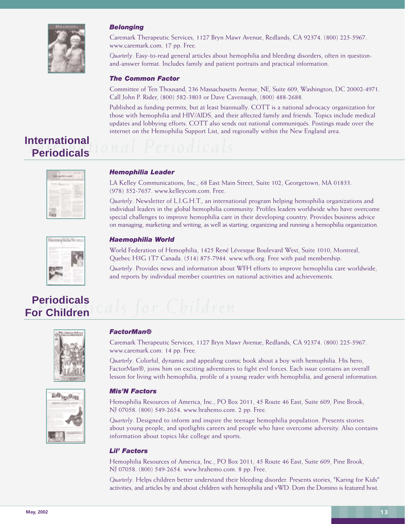

### *Belonging*

Caremark Therapeutic Services, 1127 Bryn Mawr Avenue, Redlands, CA 92374. (800) 225-5967. www.caremark.com. 17 pp. Free.

*Quarterly*. Easy-to-read general articles about hemophilia and bleeding disorders, often in questionand-answer format. Includes family and patient portraits and practical information.

### *The Common Factor*

Committee of Ten Thousand, 236 Massachusetts Avenue, NE, Suite 609, Washington, DC 20002-4971. Call John P. Rider, (800) 582-3803 or Dave Cavenaugh, (800) 488-2688.

Published as funding permits, but at least biannually. COTT is a national advocacy organization for those with hemophilia and HIV/AIDS, and their affected family and friends. Topics include medical updates and lobbying efforts. COTT also sends out national communiqués. Postings made over the internet on the Hemophilia Support List, and regionally within the New England area.

### **International Periodicals**

Hamophillo Wints

### *Hemophilia Leader*

LA Kelley Communications, Inc., 68 East Main Street, Suite 102, Georgetown, MA 01833. (978) 352-7657. www.kelleycom.com. Free.

*Quarterly*. Newsletter of L.I.G.H.T., an international program helping hemophilia organizations and individual leaders in the global hemophilia community. Profiles leaders worldwide who have overcome special challenges to improve hemophilia care in their developing country. Provides business advice on managing, marketing and writing, as well as starting, organizing and running a hemophilia organization.

### *Haemophilia World*

World Federation of Hemophilia, 1425 René Lévesque Boulevard West, Suite 1010, Montreal, Quebec H3G 1T7 Canada. (514) 875-7944. www.wfh.org. Free with paid membership.

*Quarterly*. Provides news and information about WFH efforts to improve hemophilia care worldwide, and reports by individual member countries on national activities and achievements.

### **Periodicals For Children**





### *FactorMan®*

Caremark Therapeutic Services, 1127 Bryn Mawr Avenue, Redlands, CA 92374. (800) 225-5967. www.caremark.com. 14 pp. Free.

*Quarterly*. Colorful, dynamic and appealing comic book about a boy with hemophilia. His hero, FactorMan®, joins him on exciting adventures to fight evil forces. Each issue contains an overall lesson for living with hemophilia, profile of a young reader with hemophilia, and general information.

### *Mis'N Factors*

Hemophilia Resources of America, Inc., PO Box 2011, 45 Route 46 East, Suite 609, Pine Brook, NJ 07058. (800) 549-2654. www.hrahemo.com. 2 pp. Free.

*Quarterly*. Designed to inform and inspire the teenage hemophilia population. Presents stories about young people, and spotlights careers and people who have overcome adversity. Also contains information about topics like college and sports.

### *Lil' Factors*

Hemophilia Resources of America, Inc., PO Box 2011, 45 Route 46 East, Suite 609, Pine Brook, NJ 07058. (800) 549-2654. www.hrahemo.com. 8 pp. Free.

*Quarterly*. Helps children better understand their bleeding disorder. Presents stories, "Karing for Kids" activities, and articles by and about children with hemophilia and vWD. Dom the Domino is featured host.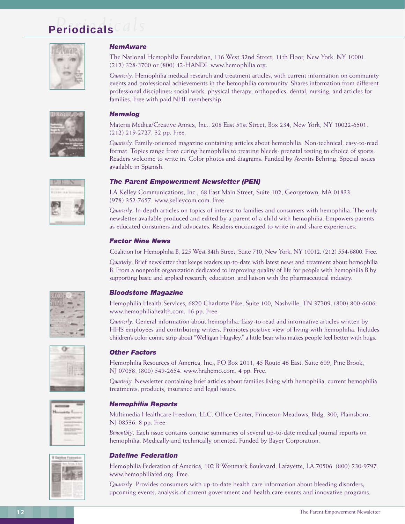## **Periodicals** *Periodicals*



### *HemAware*

The National Hemophilia Foundation, 116 West 32nd Street, 11th Floor, New York, NY 10001. (212) 328-3700 or (800) 42-HANDI. www.hemophilia.org.

*Quarterly.* Hemophilia medical research and treatment articles, with current information on community events and professional achievements in the hemophilia community. Shares information from different professional disciplines: social work, physical therapy, orthopedics, dental, nursing, and articles for families. Free with paid NHF membership.

### *Hemalog*

Materia Medica/Creative Annex, Inc., 208 East 51st Street, Box 234, New York, NY 10022-6501. (212) 219-2727. 32 pp. Free.

*Quarterly.* Family-oriented magazine containing articles about hemophilia. Non-technical, easy-to-read format. Topics range from curing hemophilia to treating bleeds; prenatal testing to choice of sports. Readers welcome to write in. Color photos and diagrams. Funded by Aventis Behring. Special issues available in Spanish.

### *The Parent Empowerment Newsletter (PEN)*

LA Kelley Communications, Inc., 68 East Main Street, Suite 102, Georgetown, MA 01833. (978) 352-7657. www.kelleycom.com. Free.

*Quarterly.* In-depth articles on topics of interest to families and consumers with hemophilia. The only newsletter available produced and edited by a parent of a child with hemophilia. Empowers parents as educated consumers and advocates. Readers encouraged to write in and share experiences.

### *Factor Nine News*

Coalition for Hemophilia B, 225 West 34th Street, Suite 710, New York, NY 10012. (212) 554-6800. Free. *Quarterly*. Brief newsletter that keeps readers up-to-date with latest news and treatment about hemophilia B. From a nonprofit organization dedicated to improving quality of life for people with hemophilia B by supporting basic and applied research, education, and liaison with the pharmaceutical industry.

### *Bloodstone Magazine*

Hemophilia Health Services, 6820 Charlotte Pike, Suite 100, Nashville, TN 37209. (800) 800-6606. www.hemophiliahealth.com. 16 pp. Free.

*Quarterly.* General information about hemophilia. Easy-to-read and informative articles written by HHS employees and contributing writers. Promotes positive view of living with hemophilia. Includes children's color comic strip about "Welligan Hugsley," a little bear who makes people feel better with hugs.

### *Other Factors*

Hemophilia Resources of America, Inc., PO Box 2011, 45 Route 46 East, Suite 609, Pine Brook, NJ 07058. (800) 549-2654. www.hrahemo.com. 4 pp. Free.

*Quarterly.* Newsletter containing brief articles about families living with hemophilia, current hemophilia treatments, products, insurance and legal issues.

### *Hemophilia Reports*

Multimedia Healthcare Freedom, LLC, Office Center, Princeton Meadows, Bldg. 300, Plainsboro, NJ 08536. 8 pp. Free.

*Bimonthly*. Each issue contains concise summaries of several up-to-date medical journal reports on hemophilia. Medically and technically oriented. Funded by Bayer Corporation.

### *Dateline Federation*

Hemophilia Federation of America, 102 B Westmark Boulevard, Lafayette, LA 70506. (800) 230-9797. www.hemophiliafed.org. Free.

*Quarterly*. Provides consumers with up-to-date health care information about bleeding disorders; upcoming events; analysis of current government and health care events and innovative programs.









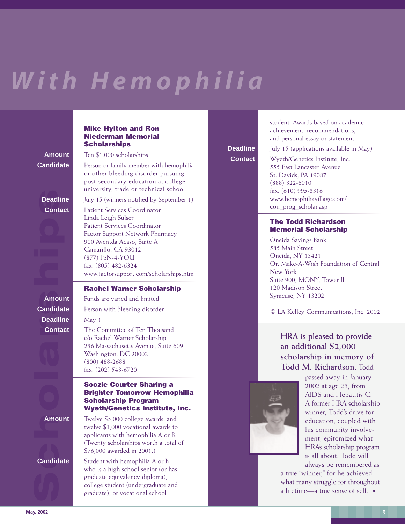# *With Hemophilia*

### **Mike Hylton and Ron Niederman Memorial Scholarships**

**Amount** Ten \$1,000 scholarships

**Candidate** Person or family member with hemophilia or other bleeding disorder pursuing post-secondary education at college, university, trade or technical school.

**Deadline** July 15 (winners notified by September 1)

**Contact** Patient Services Coordinator Linda Leigh Sulser Patient Services Coordinator Factor Support Network Pharmacy 900 Aventda Acaso, Suite A Camarillo, CA 93012 (877) FSN-4-YOU fax: (805) 482-6324 www.factorsupport.com/scholarships.htm

### **Rachel Warner Scholarship**

**Amount** Funds are varied and limited **Candidate** Person with bleeding disorder. **Contact** The Committee of Ten Thousand c/o Rachel Warner Scholarship 236 Massachusetts Avenue, Suite 609 Washington, DC 20002 (800) 488-2688 fax: (202) 543-6720

### **Soozie Courter Sharing a Brighter Tomorrow Hemophilia Scholarship Program Wyeth/Genetics Institute, Inc.**

**Amount** Twelve \$5,000 college awards, and twelve \$1,000 vocational awards to applicants with hemophilia A or B. (Twenty scholarships worth a total of \$76,000 awarded in 2001.)

**Candidate** Student with hemophilia A or B who is a high school senior (or has graduate equivalency diploma), college student (undergraduate and graduate), or vocational school

student. Awards based on academic achievement, recommendations, and personal essay or statement.

**Deadline** July 15 (applications available in May)

**Contact** Wyeth/Genetics Institute, Inc. 555 East Lancaster Avenue St. Davids, PA 19087 (888) 322-6010 fax: (610) 995-3316 www.hemophiliavillage.com/ con\_prog\_scholar.asp

### **The Todd Richardson Memorial Scholarship**

Oneida Savings Bank 585 Main Street Oneida, NY 13421 Or: Make-A-Wish Foundation of Central New York Suite 900, MONY, Tower II 120 Madison Street Syracuse, NY 13202

© LA Kelley Communications, Inc. 2002

### **HRA is pleased to provide an additional \$2,000 scholarship in memory of Todd M. Richardson.** Todd



passed away in January 2002 at age 23, from AIDS and Hepatitis C. A former HRA scholarship winner, Todd's drive for education, coupled with his community involvement, epitomized what HRA's scholarship program is all about. Todd will always be remembered as

a true "winner," for he achieved what many struggle for throughout a lifetime—a true sense of self.

Deadlin<br>Conta<br>Candidat<br>Deadlin<br>Candidat<br>Amoun<br>Candidat **Deadline** May 1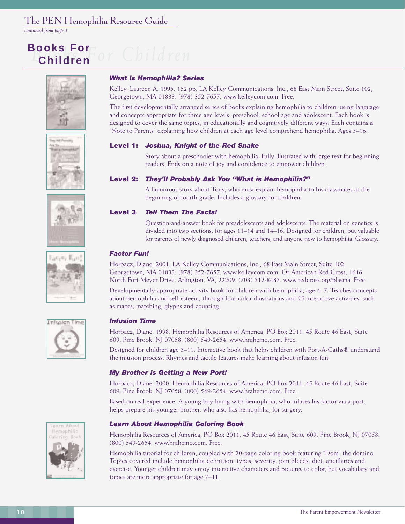### The PEN Hemophilia Resource Guide

*continued from page 5*

## **Books For Children**













### *What is Hemophilia? Series*

Kelley, Laureen A. 1995. 152 pp. LA Kelley Communications, Inc., 68 East Main Street, Suite 102, Georgetown, MA 01833. (978) 352-7657. www.kelleycom.com. Free.

The first developmentally arranged series of books explaining hemophilia to children, using language and concepts appropriate for three age levels: preschool, school age and adolescent. Each book is designed to cover the same topics, in educationally and cognitively different ways. Each contains a "Note to Parents" explaining how children at each age level comprehend hemophilia. Ages 3–16.

### **Level 1:** *Joshua, Knight of the Red Snake*

Story about a preschooler with hemophilia. Fully illustrated with large text for beginning readers. Ends on a note of joy and confidence to empower children.

### **Level 2:** *They'll Probably Ask You "What is Hemophilia?"*

A humorous story about Tony, who must explain hemophilia to his classmates at the beginning of fourth grade. Includes a glossary for children.

### **Level 3**: *Tell Them The Facts!*

Question-and-answer book for preadolescents and adolescents. The material on genetics is divided into two sections, for ages 11–14 and 14–16. Designed for children, but valuable for parents of newly diagnosed children, teachers, and anyone new to hemophilia. Glossary.

### *Factor Fun!*

Horbacz, Diane. 2001. LA Kelley Communications, Inc., 68 East Main Street, Suite 102, Georgetown, MA 01833. (978) 352-7657. www.kelleycom.com. Or American Red Cross, 1616 North Fort Meyer Drive, Arlington, VA, 22209. (703) 312-8483. www.redcross.org/plasma. Free.

Developmentally appropriate activity book for children with hemophilia, age 4–7. Teaches concepts about hemophilia and self-esteem, through four-color illustrations and 25 interactive activities, such as mazes, matching, glyphs and counting.

### *Infusion Time*

Horbacz, Diane. 1998. Hemophilia Resources of America, PO Box 2011, 45 Route 46 East, Suite 609, Pine Brook, NJ 07058. (800) 549-2654. www.hrahemo.com. Free.

Designed for children age 3–11. Interactive book that helps children with Port-A-Caths® understand the infusion process. Rhymes and tactile features make learning about infusion fun.

### *My Brother is Getting a New Port!*

Horbacz, Diane. 2000. Hemophilia Resources of America, PO Box 2011, 45 Route 46 East, Suite 609, Pine Brook, NJ 07058. (800) 549-2654. www.hrahemo.com. Free.

Based on real experience. A young boy living with hemophilia, who infuses his factor via a port, helps prepare his younger brother, who also has hemophilia, for surgery.

### *Learn About Hemophilia Coloring Book*

Hemophilia Resources of America, PO Box 2011, 45 Route 46 East, Suite 609, Pine Brook, NJ 07058. (800) 549-2654. www.hrahemo.com. Free.

Hemophilia tutorial for children, coupled with 20-page coloring book featuring "Dom" the domino. Topics covered include hemophilia definition, types, severity, join bleeds, diet, ancillaries and exercise. Younger children may enjoy interactive characters and pictures to color, but vocabulary and topics are more appropriate for age 7–11.